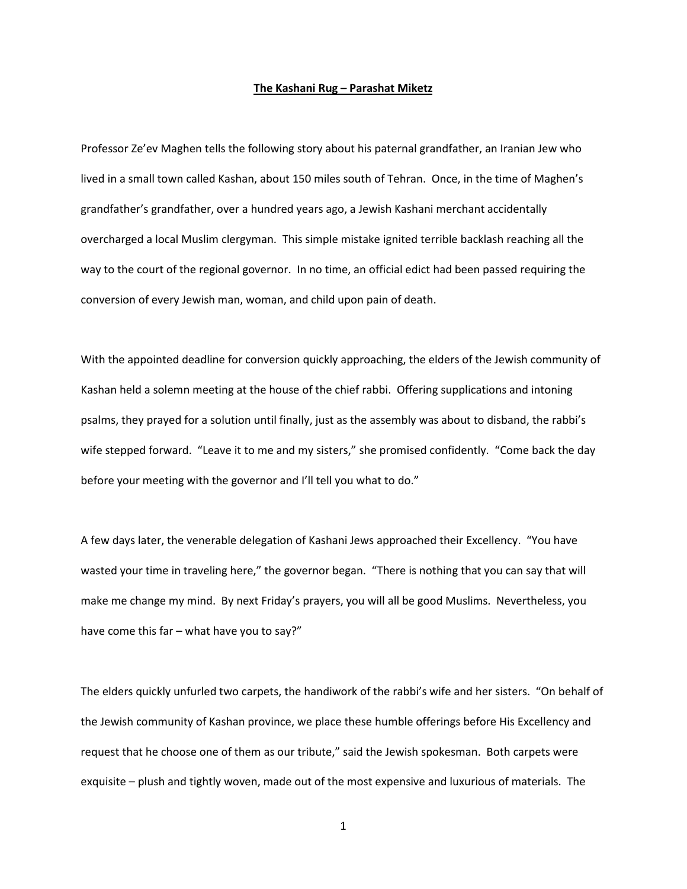## **The Kashani Rug – Parashat Miketz**

Professor Ze'ev Maghen tells the following story about his paternal grandfather, an Iranian Jew who lived in a small town called Kashan, about 150 miles south of Tehran. Once, in the time of Maghen's grandfather's grandfather, over a hundred years ago, a Jewish Kashani merchant accidentally overcharged a local Muslim clergyman. This simple mistake ignited terrible backlash reaching all the way to the court of the regional governor. In no time, an official edict had been passed requiring the conversion of every Jewish man, woman, and child upon pain of death.

With the appointed deadline for conversion quickly approaching, the elders of the Jewish community of Kashan held a solemn meeting at the house of the chief rabbi. Offering supplications and intoning psalms, they prayed for a solution until finally, just as the assembly was about to disband, the rabbi's wife stepped forward. "Leave it to me and my sisters," she promised confidently. "Come back the day before your meeting with the governor and I'll tell you what to do."

A few days later, the venerable delegation of Kashani Jews approached their Excellency. "You have wasted your time in traveling here," the governor began. "There is nothing that you can say that will make me change my mind. By next Friday's prayers, you will all be good Muslims. Nevertheless, you have come this far – what have you to say?"

The elders quickly unfurled two carpets, the handiwork of the rabbi's wife and her sisters. "On behalf of the Jewish community of Kashan province, we place these humble offerings before His Excellency and request that he choose one of them as our tribute," said the Jewish spokesman. Both carpets were exquisite – plush and tightly woven, made out of the most expensive and luxurious of materials. The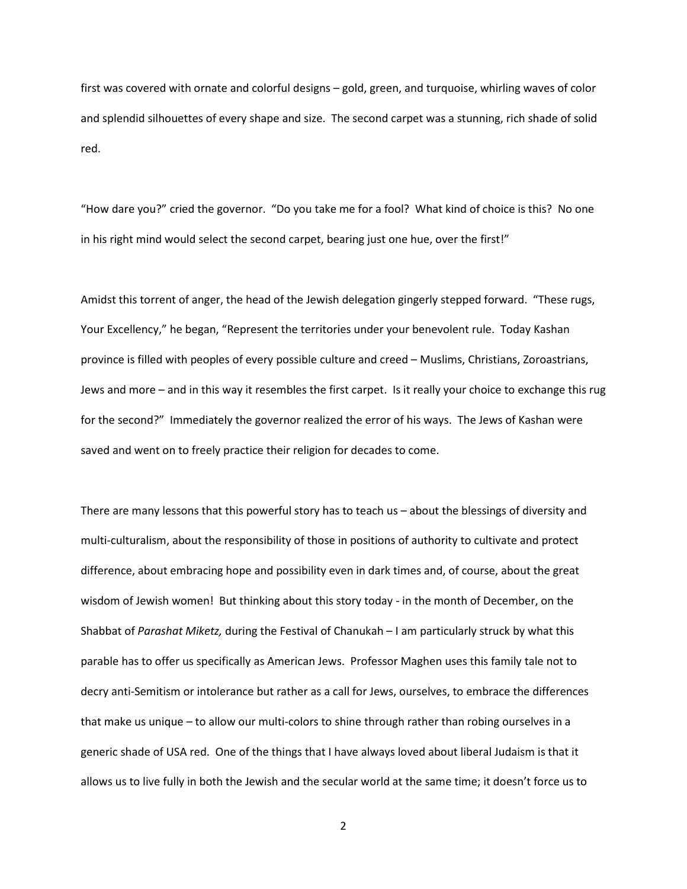first was covered with ornate and colorful designs – gold, green, and turquoise, whirling waves of color and splendid silhouettes of every shape and size. The second carpet was a stunning, rich shade of solid red.

"How dare you?" cried the governor. "Do you take me for a fool? What kind of choice is this? No one in his right mind would select the second carpet, bearing just one hue, over the first!"

Amidst this torrent of anger, the head of the Jewish delegation gingerly stepped forward. "These rugs, Your Excellency," he began, "Represent the territories under your benevolent rule. Today Kashan province is filled with peoples of every possible culture and creed – Muslims, Christians, Zoroastrians, Jews and more – and in this way it resembles the first carpet. Is it really your choice to exchange this rug for the second?" Immediately the governor realized the error of his ways. The Jews of Kashan were saved and went on to freely practice their religion for decades to come.

There are many lessons that this powerful story has to teach us – about the blessings of diversity and multi-culturalism, about the responsibility of those in positions of authority to cultivate and protect difference, about embracing hope and possibility even in dark times and, of course, about the great wisdom of Jewish women! But thinking about this story today - in the month of December, on the Shabbat of *Parashat Miketz,* during the Festival of Chanukah – I am particularly struck by what this parable has to offer us specifically as American Jews. Professor Maghen uses this family tale not to decry anti-Semitism or intolerance but rather as a call for Jews, ourselves, to embrace the differences that make us unique – to allow our multi-colors to shine through rather than robing ourselves in a generic shade of USA red. One of the things that I have always loved about liberal Judaism is that it allows us to live fully in both the Jewish and the secular world at the same time; it doesn't force us to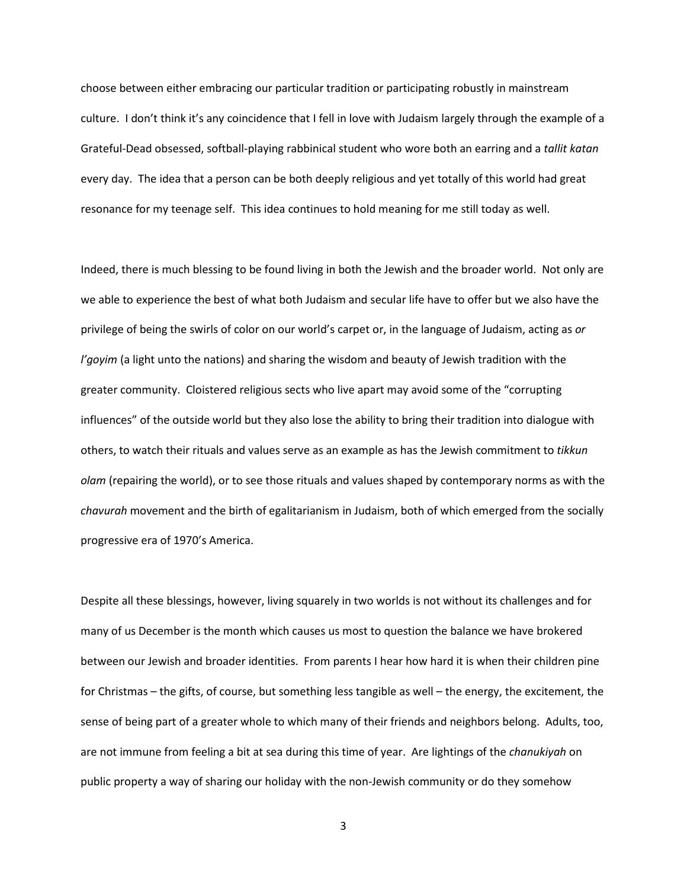choose between either embracing our particular tradition or participating robustly in mainstream culture. I don't think it's any coincidence that I fell in love with Judaism largely through the example of a Grateful-Dead obsessed, softball-playing rabbinical student who wore both an earring and a *tallit katan* every day. The idea that a person can be both deeply religious and yet totally of this world had great resonance for my teenage self. This idea continues to hold meaning for me still today as well.

Indeed, there is much blessing to be found living in both the Jewish and the broader world. Not only are we able to experience the best of what both Judaism and secular life have to offer but we also have the privilege of being the swirls of color on our world's carpet or, in the language of Judaism, acting as *or l'goyim* (a light unto the nations) and sharing the wisdom and beauty of Jewish tradition with the greater community. Cloistered religious sects who live apart may avoid some of the "corrupting influences" of the outside world but they also lose the ability to bring their tradition into dialogue with others, to watch their rituals and values serve as an example as has the Jewish commitment to *tikkun olam* (repairing the world), or to see those rituals and values shaped by contemporary norms as with the *chavurah* movement and the birth of egalitarianism in Judaism, both of which emerged from the socially progressive era of 1970's America.

Despite all these blessings, however, living squarely in two worlds is not without its challenges and for many of us December is the month which causes us most to question the balance we have brokered between our Jewish and broader identities. From parents I hear how hard it is when their children pine for Christmas – the gifts, of course, but something less tangible as well – the energy, the excitement, the sense of being part of a greater whole to which many of their friends and neighbors belong. Adults, too, are not immune from feeling a bit at sea during this time of year. Are lightings of the *chanukiyah* on public property a way of sharing our holiday with the non-Jewish community or do they somehow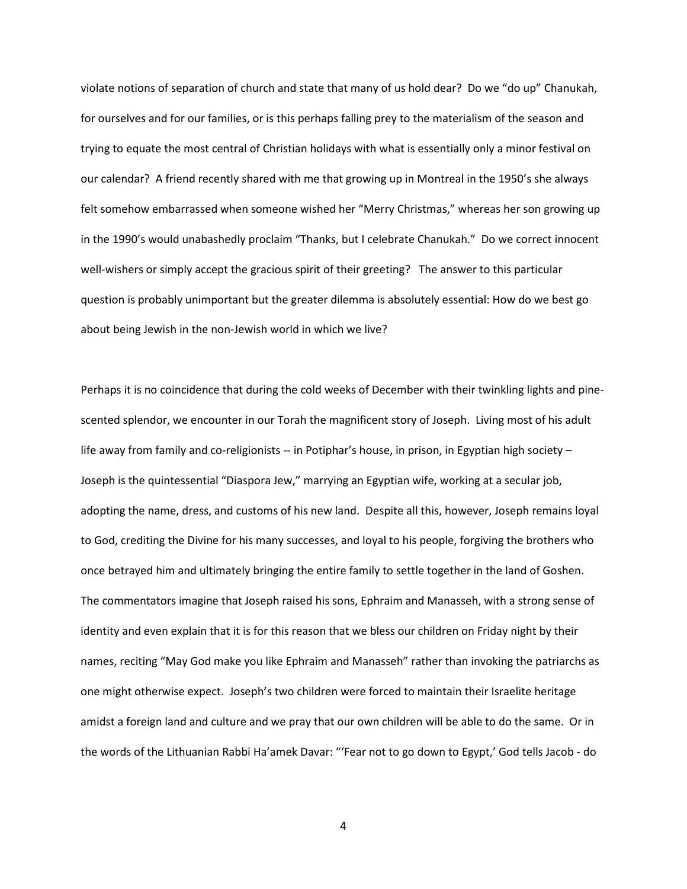violate notions of separation of church and state that many of us hold dear? Do we "do up" Chanukah, for ourselves and for our families, or is this perhaps falling prey to the materialism of the season and trying to equate the most central of Christian holidays with what is essentially only a minor festival on our calendar? A friend recently shared with me that growing up in Montreal in the 1950's she always felt somehow embarrassed when someone wished her "Merry Christmas," whereas her son growing up in the 1990's would unabashedly proclaim "Thanks, but I celebrate Chanukah." Do we correct innocent well-wishers or simply accept the gracious spirit of their greeting? The answer to this particular question is probably unimportant but the greater dilemma is absolutely essential: How do we best go about being Jewish in the non-Jewish world in which we live?

Perhaps it is no coincidence that during the cold weeks of December with their twinkling lights and pinescented splendor, we encounter in our Torah the magnificent story of Joseph. Living most of his adult life away from family and co-religionists -- in Potiphar's house, in prison, in Egyptian high society -Joseph is the quintessential "Diaspora Jew," marrying an Egyptian wife, working at a secular job, adopting the name, dress, and customs of his new land. Despite all this, however, Joseph remains loyal to God, crediting the Divine for his many successes, and loyal to his people, forgiving the brothers who once betrayed him and ultimately bringing the entire family to settle together in the land of Goshen. The commentators imagine that Joseph raised his sons, Ephraim and Manasseh, with a strong sense of identity and even explain that it is for this reason that we bless our children on Friday night by their names, reciting "May God make you like Ephraim and Manasseh" rather than invoking the patriarchs as one might otherwise expect. Joseph's two children were forced to maintain their Israelite heritage amidst a foreign land and culture and we pray that our own children will be able to do the same. Or in the words of the Lithuanian Rabbi Ha'amek Davar: "'Fear not to go down to Egypt,' God tells Jacob - do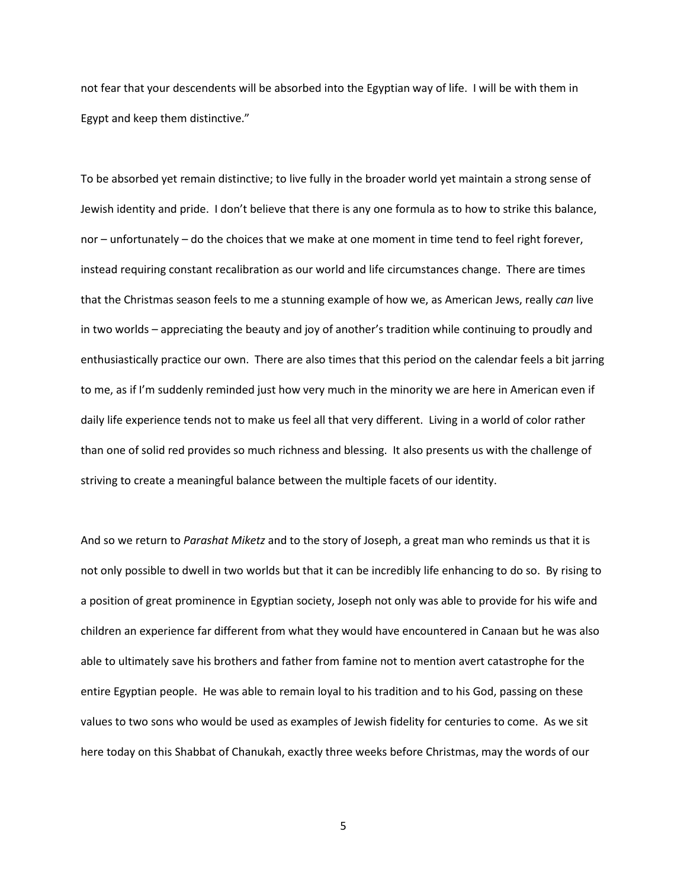not fear that your descendents will be absorbed into the Egyptian way of life. I will be with them in Egypt and keep them distinctive."

To be absorbed yet remain distinctive; to live fully in the broader world yet maintain a strong sense of Jewish identity and pride. I don't believe that there is any one formula as to how to strike this balance, nor – unfortunately – do the choices that we make at one moment in time tend to feel right forever, instead requiring constant recalibration as our world and life circumstances change. There are times that the Christmas season feels to me a stunning example of how we, as American Jews, really *can* live in two worlds – appreciating the beauty and joy of another's tradition while continuing to proudly and enthusiastically practice our own. There are also times that this period on the calendar feels a bit jarring to me, as if I'm suddenly reminded just how very much in the minority we are here in American even if daily life experience tends not to make us feel all that very different. Living in a world of color rather than one of solid red provides so much richness and blessing. It also presents us with the challenge of striving to create a meaningful balance between the multiple facets of our identity.

And so we return to *Parashat Miketz* and to the story of Joseph, a great man who reminds us that it is not only possible to dwell in two worlds but that it can be incredibly life enhancing to do so. By rising to a position of great prominence in Egyptian society, Joseph not only was able to provide for his wife and children an experience far different from what they would have encountered in Canaan but he was also able to ultimately save his brothers and father from famine not to mention avert catastrophe for the entire Egyptian people. He was able to remain loyal to his tradition and to his God, passing on these values to two sons who would be used as examples of Jewish fidelity for centuries to come. As we sit here today on this Shabbat of Chanukah, exactly three weeks before Christmas, may the words of our